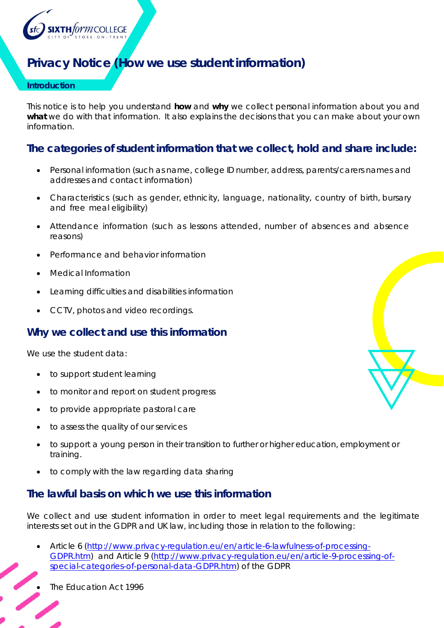

# **Privacy Notice (How we use student information)**

#### **Introduction**

This notice is to help you understand **how** and **why** we collect personal information about you and what we do with that information. It also explains the decisions that you can make about your own information.

# **The categories of student information that we collect, hold and share include:**

- Personal information (such as name, college ID number, address, parents/carers names and addresses and contact information)
- Characteristics (such as gender, ethnicity, language, nationality, country of birth, bursary and free meal eligibility)
- Attendance information (such as lessons attended, number of absences and absence reasons)
- Performance and behavior information
- Medical Information
- Learning difficulties and disabilities information
- CCTV, photos and video recordings.

#### **Why we collect and use this information**

We use the student data:

- to support student learning
- to monitor and report on student progress
- to provide appropriate pastoral care
- to assess the quality of our services
- to support a young person in their transition to further or higher education, employment or training.
- to comply with the law regarding data sharing

#### **The lawful basis on which we use this information**

We collect and use student information in order to meet legal requirements and the legitimate interests set out in the GDPR and UK law, including those in relation to the following:

 Article 6 (http://www.privacy-regulation.eu/en/article-6-lawfulness-of-processing-GDPR.htm) and Article 9 (http://www.privacy-regulation.eu/en/article-9-processing-ofspecial-categories-of-personal-data-GDPR.htm) of the GDPR

The Education Act 1996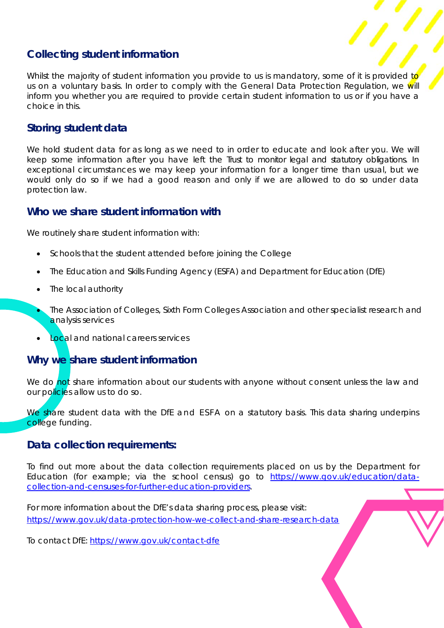# **Collecting student information**

Whilst the majority of student information you provide to us is mandatory, some of it is provided to us on a voluntary basis. In order to comply with the General Data Protection Regulation, we will inform you whether you are required to provide certain student information to us or if you have a choice in this.

## **Storing student data**

We hold student data for as long as we need to in order to educate and look after you. We will keep some information after you have left the Trust to monitor legal and statutory obligations. In exceptional circumstances we may keep your information for a longer time than usual, but we would only do so if we had a good reason and only if we are allowed to do so under data protection law.

#### **Who we share student information with**

We routinely share student information with:

- Schools that the student attended before joining the College
- The Education and Skills Funding Agency (ESFA) and Department for Education (DfE)
- The local authority
- The Association of Colleges, Sixth Form Colleges Association and other specialist research and analysis services
- Local and national careers services

### **Why we share student information**

We do not share information about our students with anyone without consent unless the law and our policies allow us to do so.

We share student data with the DfE and ESFA on a statutory basis. This data sharing underpins college funding.

#### **Data collection requirements:**

To find out more about the data collection requirements placed on us by the Department for Education (for example; via the school census) go to https://www.gov.uk/education/datacollection-and-censuses-for-further-education-providers.

For more information about the DfE's data sharing process, please visit: https://www.gov.uk/data-protection-how-we-collect-and-share-research-data

To contact DfE: https://www.gov.uk/contact-dfe